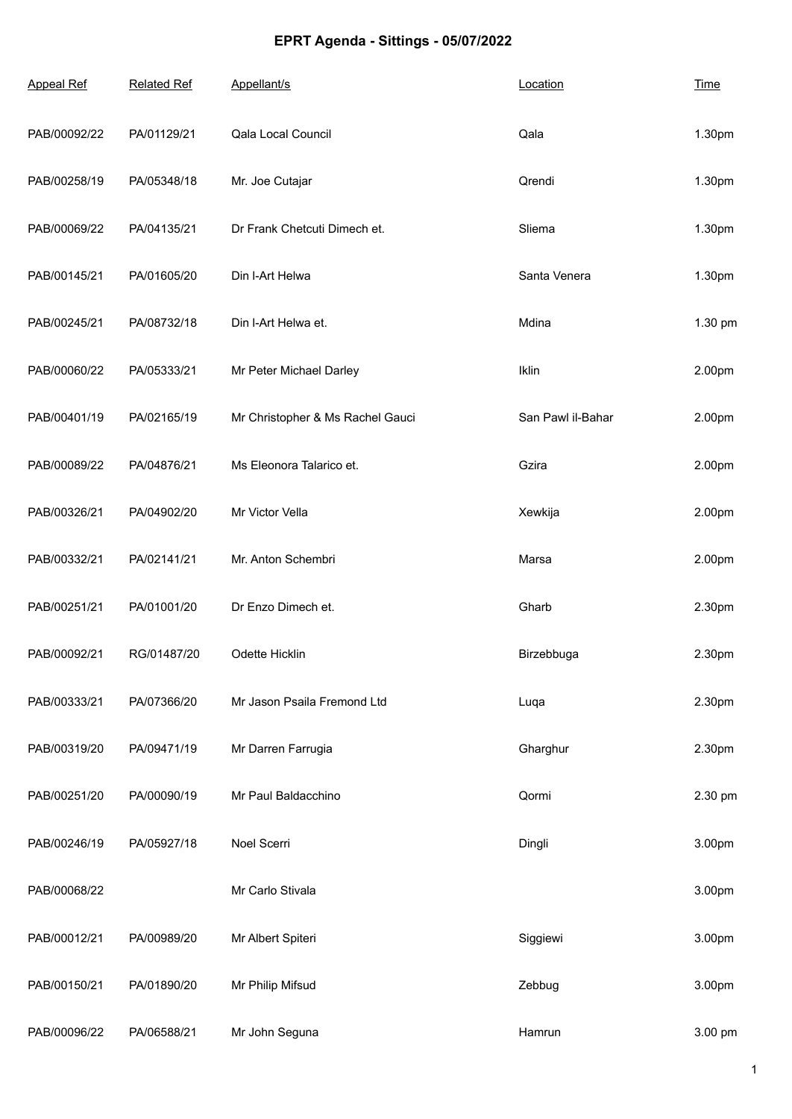## **EPRT Agenda - Sittings - 05/07/2022**

| <b>Appeal Ref</b> | <b>Related Ref</b> | Appellant/s                      | Location          | <b>Time</b> |
|-------------------|--------------------|----------------------------------|-------------------|-------------|
| PAB/00092/22      | PA/01129/21        | Qala Local Council               | Qala              | 1.30pm      |
| PAB/00258/19      | PA/05348/18        | Mr. Joe Cutajar                  | Qrendi            | 1.30pm      |
| PAB/00069/22      | PA/04135/21        | Dr Frank Chetcuti Dimech et.     | Sliema            | 1.30pm      |
| PAB/00145/21      | PA/01605/20        | Din I-Art Helwa                  | Santa Venera      | 1.30pm      |
| PAB/00245/21      | PA/08732/18        | Din I-Art Helwa et.              | Mdina             | 1.30 pm     |
| PAB/00060/22      | PA/05333/21        | Mr Peter Michael Darley          | Iklin             | 2.00pm      |
| PAB/00401/19      | PA/02165/19        | Mr Christopher & Ms Rachel Gauci | San Pawl il-Bahar | 2.00pm      |
| PAB/00089/22      | PA/04876/21        | Ms Eleonora Talarico et.         | Gzira             | 2.00pm      |
| PAB/00326/21      | PA/04902/20        | Mr Victor Vella                  | Xewkija           | 2.00pm      |
| PAB/00332/21      | PA/02141/21        | Mr. Anton Schembri               | Marsa             | 2.00pm      |
| PAB/00251/21      | PA/01001/20        | Dr Enzo Dimech et.               | Gharb             | 2.30pm      |
| PAB/00092/21      | RG/01487/20        | Odette Hicklin                   | Birzebbuga        | 2.30pm      |
| PAB/00333/21      | PA/07366/20        | Mr Jason Psaila Fremond Ltd      | Luqa              | 2.30pm      |
| PAB/00319/20      | PA/09471/19        | Mr Darren Farrugia               | Gharghur          | 2.30pm      |
| PAB/00251/20      | PA/00090/19        | Mr Paul Baldacchino              | Qormi             | 2.30 pm     |
| PAB/00246/19      | PA/05927/18        | Noel Scerri                      | Dingli            | 3.00pm      |
| PAB/00068/22      |                    | Mr Carlo Stivala                 |                   | 3.00pm      |
| PAB/00012/21      | PA/00989/20        | Mr Albert Spiteri                | Siggiewi          | 3.00pm      |
| PAB/00150/21      | PA/01890/20        | Mr Philip Mifsud                 | Zebbug            | 3.00pm      |
| PAB/00096/22      | PA/06588/21        | Mr John Seguna                   | Hamrun            | 3.00 pm     |